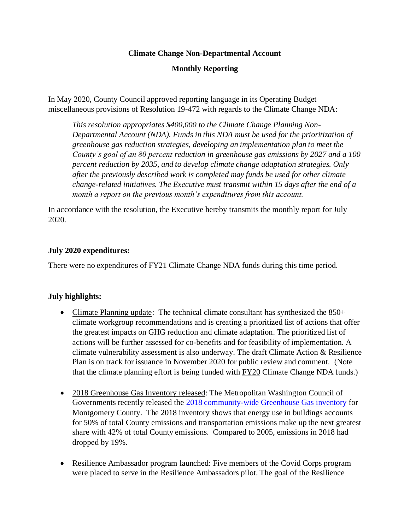### **Climate Change Non-Departmental Account**

## **Monthly Reporting**

In May 2020, County Council approved reporting language in its Operating Budget miscellaneous provisions of Resolution 19-472 with regards to the Climate Change NDA:

*This resolution appropriates \$400,000 to the Climate Change Planning Non-Departmental Account (NDA). Funds in this NDA must be used for the prioritization of greenhouse gas reduction strategies, developing an implementation plan to meet the County's goal of an 80 percent reduction in greenhouse gas emissions by 2027 and a 100 percent reduction by 2035, and to develop climate change adaptation strategies. Only after the previously described work is completed may funds be used for other climate change-related initiatives. The Executive must transmit within 15 days after the end of a month a report on the previous month's expenditures from this account.*

In accordance with the resolution, the Executive hereby transmits the monthly report for July 2020.

### **July 2020 expenditures:**

There were no expenditures of FY21 Climate Change NDA funds during this time period.

# **July highlights:**

- Climate Planning update: The technical climate consultant has synthesized the 850+ climate workgroup recommendations and is creating a prioritized list of actions that offer the greatest impacts on GHG reduction and climate adaptation. The prioritized list of actions will be further assessed for co-benefits and for feasibility of implementation. A climate vulnerability assessment is also underway. The draft Climate Action & Resilience Plan is on track for issuance in November 2020 for public review and comment. (Note that the climate planning effort is being funded with FY20 Climate Change NDA funds.)
- 2018 Greenhouse Gas Inventory released: The Metropolitan Washington Council of Governments recently released the [2018 community-wide Greenhouse Gas inventory](https://www.montgomerycountymd.gov/green/climate/ghg-inventory.html) for Montgomery County. The 2018 inventory shows that energy use in buildings accounts for 50% of total County emissions and transportation emissions make up the next greatest share with 42% of total County emissions. Compared to 2005, emissions in 2018 had dropped by 19%.
- Resilience Ambassador program launched: Five members of the Covid Corps program were placed to serve in the Resilience Ambassadors pilot. The goal of the Resilience